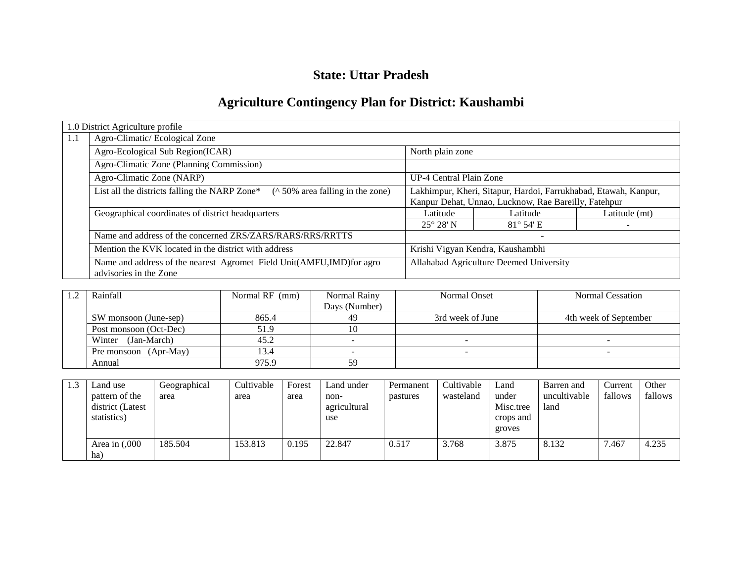# **State: Uttar Pradesh**

# **Agriculture Contingency Plan for District: Kaushambi**

|     | 1.0 District Agriculture profile                                                               |                                                                                                                         |                  |               |  |  |  |
|-----|------------------------------------------------------------------------------------------------|-------------------------------------------------------------------------------------------------------------------------|------------------|---------------|--|--|--|
| 1.1 | Agro-Climatic/Ecological Zone                                                                  |                                                                                                                         |                  |               |  |  |  |
|     | Agro-Ecological Sub Region(ICAR)                                                               | North plain zone                                                                                                        |                  |               |  |  |  |
|     | Agro-Climatic Zone (Planning Commission)                                                       |                                                                                                                         |                  |               |  |  |  |
|     | Agro-Climatic Zone (NARP)                                                                      | UP-4 Central Plain Zone                                                                                                 |                  |               |  |  |  |
|     | List all the districts falling the NARP Zone*<br>( $\land$ 50% area falling in the zone)       | Lakhimpur, Kheri, Sitapur, Hardoi, Farrukhabad, Etawah, Kanpur,<br>Kanpur Dehat, Unnao, Lucknow, Rae Bareilly, Fatehpur |                  |               |  |  |  |
|     | Geographical coordinates of district headquarters                                              | Latitude                                                                                                                | Latitude         | Latitude (mt) |  |  |  |
|     |                                                                                                | $25^{\circ} 28' N$                                                                                                      | $81^\circ 54$ 'E |               |  |  |  |
|     | Name and address of the concerned ZRS/ZARS/RARS/RRS/RRTTS                                      |                                                                                                                         |                  |               |  |  |  |
|     | Mention the KVK located in the district with address                                           | Krishi Vigyan Kendra, Kaushambhi                                                                                        |                  |               |  |  |  |
|     | Name and address of the nearest Agromet Field Unit(AMFU,IMD)for agro<br>advisories in the Zone | Allahabad Agriculture Deemed University                                                                                 |                  |               |  |  |  |

| Rainfall               | Normal RF (mm) | Normal Rainy  | <b>Normal Onset</b> | Normal Cessation      |
|------------------------|----------------|---------------|---------------------|-----------------------|
|                        |                | Days (Number) |                     |                       |
| SW monsoon (June-sep)  | 865.4          | 49            | 3rd week of June    | 4th week of September |
| Post monsoon (Oct-Dec) | 51.9           | 10            |                     |                       |
| (Jan-March)<br>Winter  | 45.2           |               |                     |                       |
| Pre monsoon (Apr-May)  | 13.4           |               |                     |                       |
| Annual                 | 975.9          | 59            |                     |                       |

| 1.3 | Land use                                          | Geographical | Cultivable | Forest | Land under                  | Permanent | Cultivable | Land                                      | Barren and           | Current | Other   |
|-----|---------------------------------------------------|--------------|------------|--------|-----------------------------|-----------|------------|-------------------------------------------|----------------------|---------|---------|
|     | pattern of the<br>district (Latest<br>statistics) | area         | area       | area   | non-<br>agricultural<br>use | pastures  | wasteland  | under<br>Misc.tree<br>crops and<br>groves | uncultivable<br>land | fallows | fallows |
|     | Area in $(0.000)$<br>ha)                          | 185.504      | 153.813    | 0.195  | 22.847                      | 0.517     | 3.768      | 3.875                                     | 8.132                | 7.467   | 4.235   |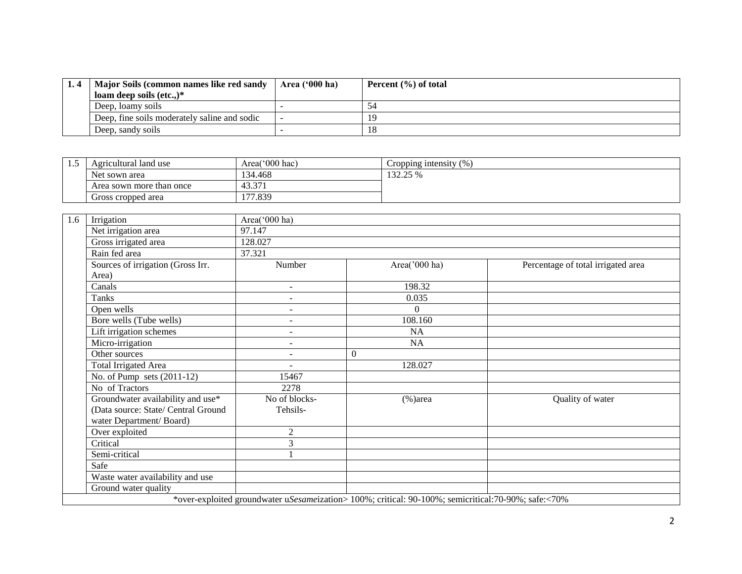| 1.4 | Major Soils (common names like red sandy     | <b>Area ('000 ha)</b> | Percent $(\% )$ of total |
|-----|----------------------------------------------|-----------------------|--------------------------|
|     | loam deep soils $(\text{etc.})^*$            |                       |                          |
|     | Deep, loamy soils                            |                       |                          |
|     | Deep, fine soils moderately saline and sodic |                       |                          |
|     | Deep, sandy soils                            |                       |                          |

| 1.J | Agricultural land use    | Area( $000$ hac) | Cropping intensity $(\% )$           |
|-----|--------------------------|------------------|--------------------------------------|
|     | Net sown area            | 134.468          | 132250<br>.J <i>L</i> . <i>LJ</i> 70 |
|     | Area sown more than once | 43.371           |                                      |
|     | Gross cropped area       | 177.839          |                                      |

| 1.6<br>Irrigation                   | Area('000 ha)  |                                                                                                     |                                    |
|-------------------------------------|----------------|-----------------------------------------------------------------------------------------------------|------------------------------------|
| Net irrigation area                 | 97.147         |                                                                                                     |                                    |
| Gross irrigated area                | 128.027        |                                                                                                     |                                    |
| Rain fed area                       | 37.321         |                                                                                                     |                                    |
| Sources of irrigation (Gross Irr.   | Number         | Area('000 ha)                                                                                       | Percentage of total irrigated area |
| Area)                               |                |                                                                                                     |                                    |
| Canals                              | $\sim$         | 198.32                                                                                              |                                    |
| <b>Tanks</b>                        |                | 0.035                                                                                               |                                    |
| Open wells                          | $\sim$         | $\Omega$                                                                                            |                                    |
| Bore wells (Tube wells)             | $\sim$         | 108.160                                                                                             |                                    |
| Lift irrigation schemes             | $\sim$         | <b>NA</b>                                                                                           |                                    |
| Micro-irrigation                    | $\sim$         | <b>NA</b>                                                                                           |                                    |
| Other sources                       | $\sim$         | $\overline{0}$                                                                                      |                                    |
| <b>Total Irrigated Area</b>         | $\sim$         | 128.027                                                                                             |                                    |
| No. of Pump sets $(2011-12)$        | 15467          |                                                                                                     |                                    |
| No of Tractors                      | 2278           |                                                                                                     |                                    |
| Groundwater availability and use*   | No of blocks-  | $(\% )$ area                                                                                        | Quality of water                   |
| (Data source: State/ Central Ground | Tehsils-       |                                                                                                     |                                    |
| water Department/Board)             |                |                                                                                                     |                                    |
| Over exploited                      | $\overline{2}$ |                                                                                                     |                                    |
| Critical                            | 3              |                                                                                                     |                                    |
| Semi-critical                       |                |                                                                                                     |                                    |
| Safe                                |                |                                                                                                     |                                    |
| Waste water availability and use    |                |                                                                                                     |                                    |
| Ground water quality                |                |                                                                                                     |                                    |
|                                     |                | *over-exploited groundwater uSesameization> 100%; critical: 90-100%; semicritical:70-90%; safe:<70% |                                    |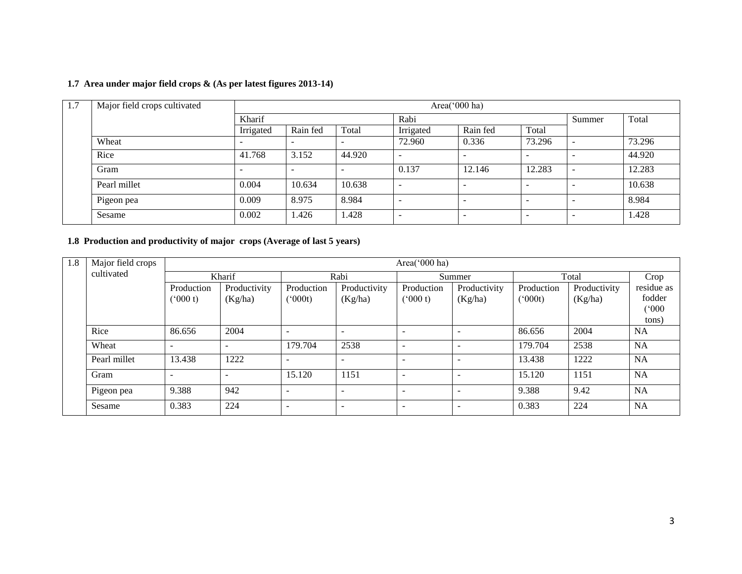## **1.7 Area under major field crops & (As per latest figures 2013-14)**

| -1.7 | Major field crops cultivated |           |                          |        |                          | Area('000 ha)            |                          |                              |        |
|------|------------------------------|-----------|--------------------------|--------|--------------------------|--------------------------|--------------------------|------------------------------|--------|
|      |                              | Kharif    |                          |        | Rabi                     |                          |                          | Summer                       | Total  |
|      |                              | Irrigated | Rain fed                 | Total  | Irrigated                | Rain fed                 | Total                    |                              |        |
|      | Wheat                        | -         | $\overline{\phantom{a}}$ |        | 72.960                   | 0.336                    | 73.296                   | -                            | 73.296 |
|      | Rice                         | 41.768    | 3.152                    | 44.920 | $\overline{\phantom{0}}$ | -                        | -                        |                              | 44.920 |
|      | Gram                         |           |                          |        | 0.137                    | 12.146                   | 12.283                   | $\qquad \qquad \blacksquare$ | 12.283 |
|      | Pearl millet                 | 0.004     | 10.634                   | 10.638 | $\overline{\phantom{0}}$ | $\overline{\phantom{a}}$ | $\overline{\phantom{0}}$ | $\overline{\phantom{a}}$     | 10.638 |
|      | Pigeon pea                   | 0.009     | 8.975                    | 8.984  | -                        | -                        | -                        |                              | 8.984  |
|      | Sesame                       | 0.002     | 1.426                    | .428   | <b>.</b>                 | $\overline{\phantom{a}}$ | -                        |                              | 1.428  |

# **1.8 Production and productivity of major crops (Average of last 5 years)**

| 1.8<br>Major field crops<br>Area('000 ha) |              |                          |                          |                          |                          |                          |                         |                            |                         |                               |
|-------------------------------------------|--------------|--------------------------|--------------------------|--------------------------|--------------------------|--------------------------|-------------------------|----------------------------|-------------------------|-------------------------------|
|                                           | cultivated   |                          | Kharif                   |                          | Rabi                     |                          | Summer                  |                            | Total                   | Crop                          |
|                                           |              | Production<br>(000 t)    | Productivity<br>(Kg/ha)  | Production<br>(000t)     | Productivity<br>(Kg/ha)  | Production<br>(000 t)    | Productivity<br>(Kg/ha) | Production<br>$(^{o}000t)$ | Productivity<br>(Kg/ha) | residue as<br>fodder<br>(000) |
|                                           |              |                          |                          |                          |                          |                          |                         |                            |                         | tons)                         |
|                                           | Rice         | 86.656                   | 2004                     | $\overline{\phantom{a}}$ |                          |                          |                         | 86.656                     | 2004                    | <b>NA</b>                     |
|                                           | Wheat        | $\overline{\phantom{0}}$ | $\overline{\phantom{0}}$ | 179.704                  | 2538                     | $\overline{\phantom{a}}$ |                         | 179.704                    | 2538                    | <b>NA</b>                     |
|                                           | Pearl millet | 13.438                   | 1222                     | $\overline{\phantom{a}}$ |                          | $\overline{\phantom{a}}$ | -                       | 13.438                     | 1222                    | <b>NA</b>                     |
|                                           | Gram         |                          |                          | 15.120                   | 1151                     | $\overline{\phantom{0}}$ |                         | 15.120                     | 1151                    | <b>NA</b>                     |
|                                           | Pigeon pea   | 9.388                    | 942                      | $\overline{\phantom{a}}$ |                          | $\overline{\phantom{a}}$ |                         | 9.388                      | 9.42                    | <b>NA</b>                     |
|                                           | Sesame       | 0.383                    | 224                      | $\overline{\phantom{a}}$ | $\overline{\phantom{0}}$ | $\overline{\phantom{0}}$ |                         | 0.383                      | 224                     | <b>NA</b>                     |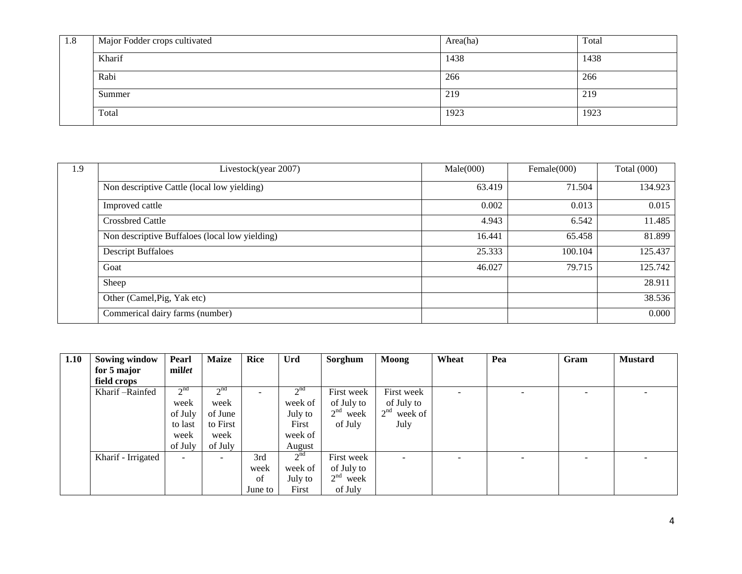| 1.8 | Major Fodder crops cultivated | Area(ha) | Total |
|-----|-------------------------------|----------|-------|
|     | Kharif                        | 1438     | 1438  |
|     | Rabi                          | 266      | 266   |
|     | Summer                        | 219      | 219   |
|     | Total                         | 1923     | 1923  |

| 1.9 | Livestock(year 2007)                           | Male(000) | Female $(000)$ | Total $(000)$ |
|-----|------------------------------------------------|-----------|----------------|---------------|
|     | Non descriptive Cattle (local low yielding)    | 63.419    | 71.504         | 134.923       |
|     | Improved cattle                                | 0.002     | 0.013          | 0.015         |
|     | <b>Crossbred Cattle</b>                        | 4.943     | 6.542          | 11.485        |
|     | Non descriptive Buffaloes (local low yielding) | 16.441    | 65.458         | 81.899        |
|     | <b>Descript Buffaloes</b>                      | 25.333    | 100.104        | 125.437       |
|     | Goat                                           | 46.027    | 79.715         | 125.742       |
|     | Sheep                                          |           |                | 28.911        |
|     | Other (Camel, Pig, Yak etc)                    |           |                | 38.536        |
|     | Commerical dairy farms (number)                |           |                | 0.000         |

| 1.10 | <b>Sowing window</b> | Pearl           | <b>Maize</b>             | <b>Rice</b> | Urd             | Sorghum                 | <b>Moong</b>               | Wheat                    | Pea | Gram                     | <b>Mustard</b> |
|------|----------------------|-----------------|--------------------------|-------------|-----------------|-------------------------|----------------------------|--------------------------|-----|--------------------------|----------------|
|      | for 5 major          | millet          |                          |             |                 |                         |                            |                          |     |                          |                |
|      | field crops          |                 |                          |             |                 |                         |                            |                          |     |                          |                |
|      | Kharif-Rainfed       | 2 <sup>nd</sup> | 2 <sup>nd</sup>          |             | $2^{nd}$        | First week              | First week                 | $\overline{\phantom{0}}$ | ۰   | $\overline{\phantom{a}}$ |                |
|      |                      | week            | week                     |             | week of         | of July to              | of July to                 |                          |     |                          |                |
|      |                      | of July         | of June                  |             | July to         | $2nd$ week              | 2 <sup>nd</sup><br>week of |                          |     |                          |                |
|      |                      | to last         | to First                 |             | First           | of July                 | July                       |                          |     |                          |                |
|      |                      | week            | week                     |             | week of         |                         |                            |                          |     |                          |                |
|      |                      | of July         | of July                  |             | August          |                         |                            |                          |     |                          |                |
|      | Kharif - Irrigated   | Ξ.              | $\overline{\phantom{a}}$ | 3rd         | 2 <sup>nd</sup> | First week              | $\overline{\phantom{a}}$   | $\overline{\phantom{m}}$ | Ξ.  | $\overline{\phantom{0}}$ |                |
|      |                      |                 |                          | week        | week of         | of July to              |                            |                          |     |                          |                |
|      |                      |                 |                          | of          | July to         | 2 <sup>nd</sup><br>week |                            |                          |     |                          |                |
|      |                      |                 |                          | June to     | First           | of July                 |                            |                          |     |                          |                |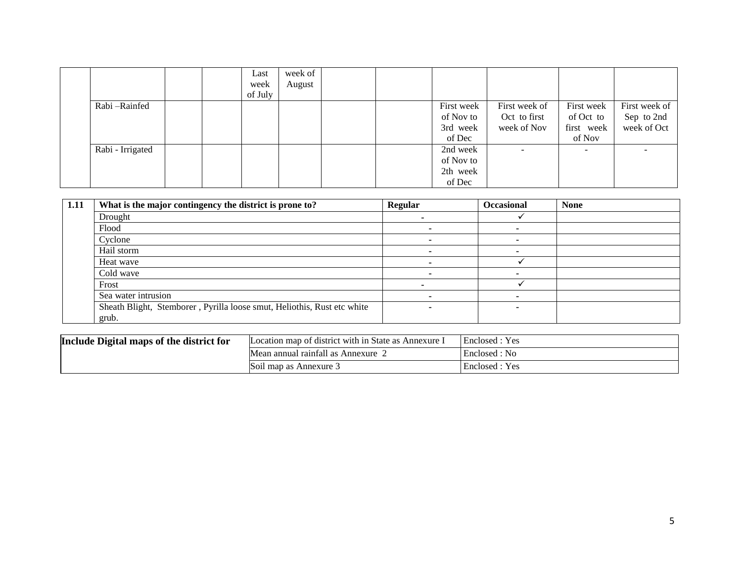|                  |  | Last    | week of |  |            |               |                          |               |
|------------------|--|---------|---------|--|------------|---------------|--------------------------|---------------|
|                  |  | week    | August  |  |            |               |                          |               |
|                  |  | of July |         |  |            |               |                          |               |
| Rabi-Rainfed     |  |         |         |  | First week | First week of | First week               | First week of |
|                  |  |         |         |  | of Nov to  | Oct to first  | of Oct to                | Sep to 2nd    |
|                  |  |         |         |  | 3rd week   | week of Nov   | first week               | week of Oct   |
|                  |  |         |         |  | of Dec     |               | of Nov                   |               |
| Rabi - Irrigated |  |         |         |  | 2nd week   | -             | $\overline{\phantom{a}}$ |               |
|                  |  |         |         |  | of Nov to  |               |                          |               |
|                  |  |         |         |  | 2th week   |               |                          |               |
|                  |  |         |         |  | of Dec     |               |                          |               |

| 1.11 | What is the major contingency the district is prone to?                 | Regular | <b>Occasional</b> | <b>None</b> |
|------|-------------------------------------------------------------------------|---------|-------------------|-------------|
|      | Drought                                                                 |         |                   |             |
|      | Flood                                                                   |         |                   |             |
|      | Cyclone                                                                 |         |                   |             |
|      | Hail storm                                                              |         |                   |             |
|      | Heat wave                                                               |         |                   |             |
|      | Cold wave                                                               |         |                   |             |
|      | Frost                                                                   |         |                   |             |
|      | Sea water intrusion                                                     |         |                   |             |
|      | Sheath Blight, Stemborer, Pyrilla loose smut, Heliothis, Rust etc white |         |                   |             |
|      | grub.                                                                   |         |                   |             |

| Include Digital maps of the district for | Location map of district with in State as Annexure I | Enclosed: Yes  |
|------------------------------------------|------------------------------------------------------|----------------|
|                                          | Mean annual rainfall as Annexure $\angle$            | Enclosed : No  |
|                                          | Soil map as Annexure 3                               | Enclosed : Yes |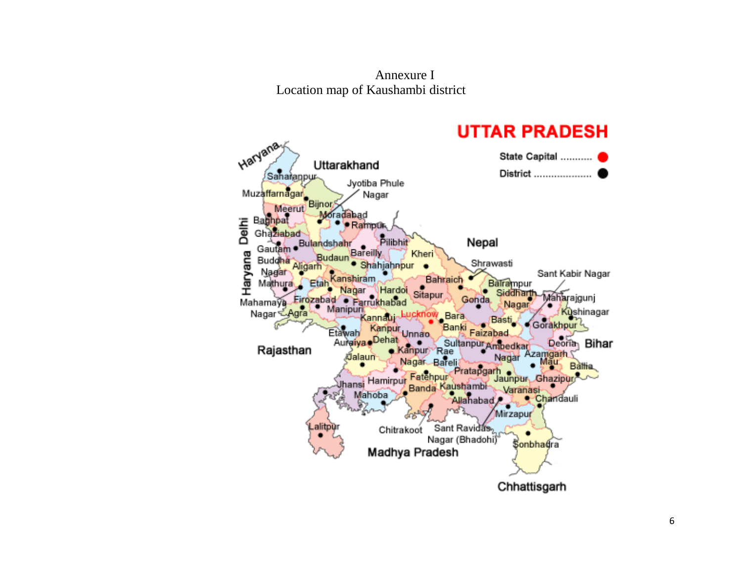Annexure I Location map of Kaushambi district

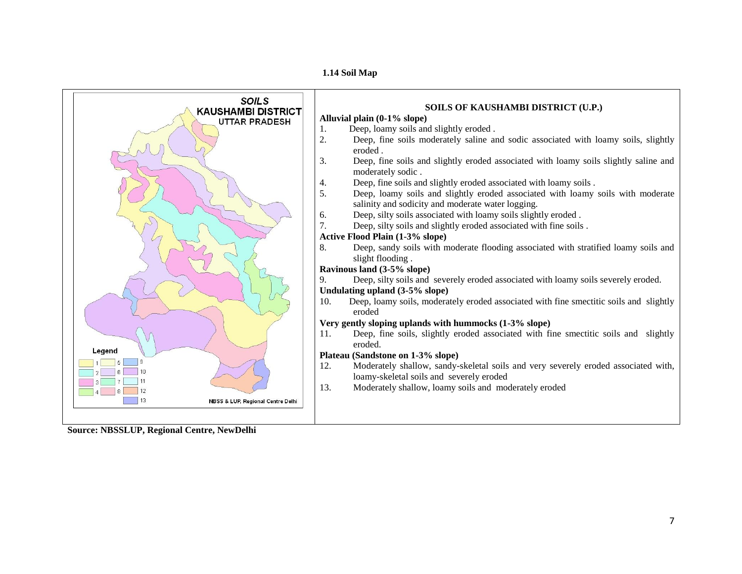**1.14 Soil Map**



**Source: NBSSLUP, Regional Centre, NewDelhi**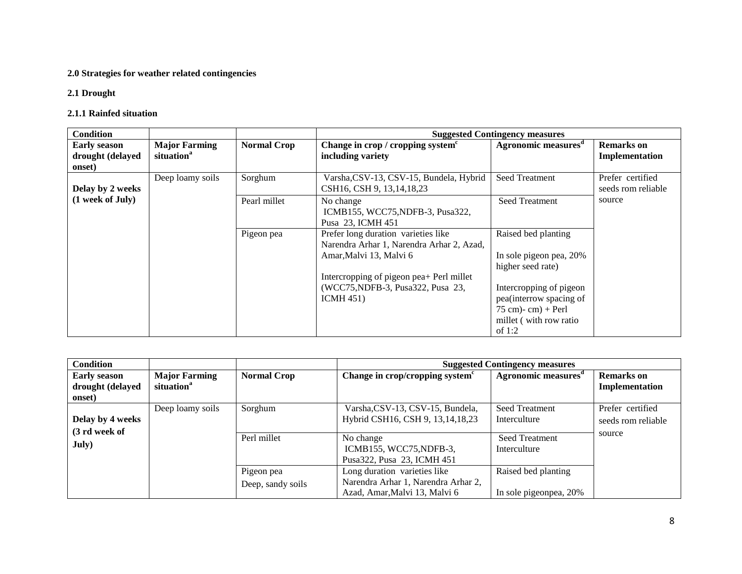#### **2.0 Strategies for weather related contingencies**

#### **2.1 Drought**

#### **2.1.1 Rainfed situation**

| <b>Condition</b>                                  |                                                |                    |                                                                                                                                                                                                             | <b>Suggested Contingency measures</b>                                                                                                                                                        |                                        |
|---------------------------------------------------|------------------------------------------------|--------------------|-------------------------------------------------------------------------------------------------------------------------------------------------------------------------------------------------------------|----------------------------------------------------------------------------------------------------------------------------------------------------------------------------------------------|----------------------------------------|
| <b>Early season</b><br>drought (delayed<br>onset) | <b>Major Farming</b><br>situation <sup>a</sup> | <b>Normal Crop</b> | Change in crop / cropping system <sup>c</sup><br>including variety                                                                                                                                          | Agronomic measures <sup>d</sup>                                                                                                                                                              | <b>Remarks</b> on<br>Implementation    |
| Delay by 2 weeks                                  | Deep loamy soils                               | Sorghum            | Varsha, CSV-13, CSV-15, Bundela, Hybrid<br>CSH16, CSH 9, 13, 14, 18, 23                                                                                                                                     | <b>Seed Treatment</b>                                                                                                                                                                        | Prefer certified<br>seeds rom reliable |
| (1 week of July)                                  |                                                | Pearl millet       | No change<br>ICMB155, WCC75, NDFB-3, Pusa322,<br>Pusa 23. ICMH 451                                                                                                                                          | <b>Seed Treatment</b>                                                                                                                                                                        | source                                 |
|                                                   |                                                | Pigeon pea         | Prefer long duration varieties like<br>Narendra Arhar 1, Narendra Arhar 2, Azad,<br>Amar, Malvi 13, Malvi 6<br>Intercropping of pigeon pea+ Perl millet<br>(WCC75, NDFB-3, Pusa 322, Pusa 23,<br>ICMH $451$ | Raised bed planting<br>In sole pigeon pea, 20%<br>higher seed rate)<br>Intercropping of pigeon<br>pea(interrow spacing of<br>$75$ cm $)$ - cm $)$ + Perl<br>millet (with row ratio<br>of 1:2 |                                        |

| <b>Condition</b>    |                        |                    |                                             | <b>Suggested Contingency measures</b> |                    |
|---------------------|------------------------|--------------------|---------------------------------------------|---------------------------------------|--------------------|
| <b>Early season</b> | <b>Major Farming</b>   | <b>Normal Crop</b> | Change in crop/cropping system <sup>c</sup> | Agronomic measures <sup>"</sup>       | <b>Remarks</b> on  |
| drought (delayed    | situation <sup>a</sup> |                    |                                             |                                       | Implementation     |
| onset)              |                        |                    |                                             |                                       |                    |
|                     | Deep loamy soils       | Sorghum            | Varsha, CSV-13, CSV-15, Bundela,            | <b>Seed Treatment</b>                 | Prefer certified   |
| Delay by 4 weeks    |                        |                    | Hybrid CSH16, CSH 9, 13, 14, 18, 23         | Interculture                          | seeds rom reliable |
| (3 rd week of       |                        |                    |                                             |                                       | source             |
| July)               |                        | Perl millet        | No change                                   | Seed Treatment                        |                    |
|                     |                        |                    | ICMB155, WCC75, NDFB-3,                     | Interculture                          |                    |
|                     |                        |                    | Pusa 322, Pusa 23, ICMH 451                 |                                       |                    |
|                     |                        | Pigeon pea         | Long duration varieties like                | Raised bed planting                   |                    |
|                     |                        | Deep, sandy soils  | Narendra Arhar 1, Narendra Arhar 2,         |                                       |                    |
|                     |                        |                    | Azad, Amar, Malvi 13, Malvi 6               | In sole pigeonpea, 20%                |                    |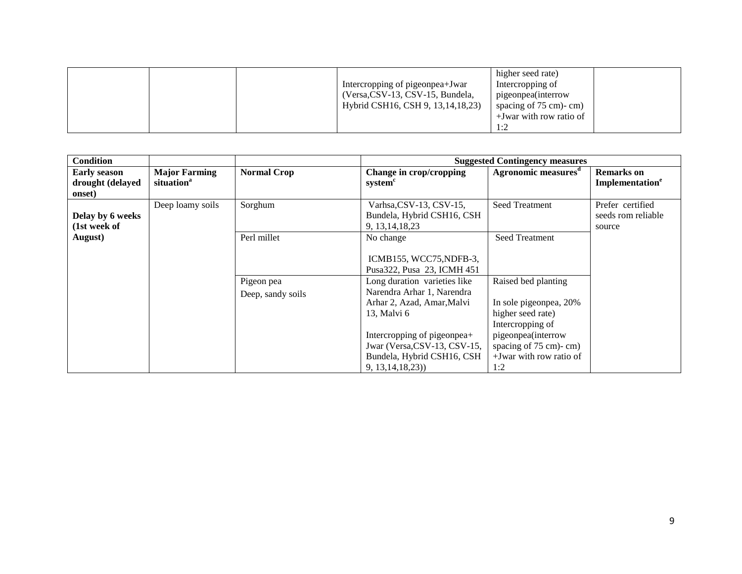|  |  |  | Intercropping of pigeonpea+Jwar<br>(Versa, CSV-13, CSV-15, Bundela,<br>Hybrid CSH16, CSH 9, 13, 14, 18, 23) | higher seed rate)<br>Intercropping of<br>pigeonpea(interrow<br>spacing of $75 \text{ cm}$ - cm)<br>$+$ Jwar with row ratio of<br>$1 \cdot 7$ |  |
|--|--|--|-------------------------------------------------------------------------------------------------------------|----------------------------------------------------------------------------------------------------------------------------------------------|--|
|--|--|--|-------------------------------------------------------------------------------------------------------------|----------------------------------------------------------------------------------------------------------------------------------------------|--|

| <b>Condition</b>                                  |                                                |                                 |                                                                                                                                                                                                                            | <b>Suggested Contingency measures</b>                                                                                                                                      |                                                  |
|---------------------------------------------------|------------------------------------------------|---------------------------------|----------------------------------------------------------------------------------------------------------------------------------------------------------------------------------------------------------------------------|----------------------------------------------------------------------------------------------------------------------------------------------------------------------------|--------------------------------------------------|
| <b>Early season</b><br>drought (delayed<br>onset) | <b>Major Farming</b><br>situation <sup>a</sup> | <b>Normal Crop</b>              | Change in crop/cropping<br>system <sup>c</sup>                                                                                                                                                                             | Agronomic measures <sup>d</sup>                                                                                                                                            | <b>Remarks</b> on<br>Implementation <sup>e</sup> |
| Delay by 6 weeks<br>(1st week of                  | Deep loamy soils                               | Sorghum                         | Varhsa, CSV-13, CSV-15,<br>Bundela, Hybrid CSH16, CSH<br>9, 13, 14, 18, 23                                                                                                                                                 | Seed Treatment                                                                                                                                                             | Prefer certified<br>seeds rom reliable<br>source |
| August)                                           |                                                | Perl millet                     | No change<br>ICMB155, WCC75, NDFB-3,<br>Pusa322, Pusa 23, ICMH 451                                                                                                                                                         | Seed Treatment                                                                                                                                                             |                                                  |
|                                                   |                                                | Pigeon pea<br>Deep, sandy soils | Long duration varieties like<br>Narendra Arhar 1, Narendra<br>Arhar 2, Azad, Amar, Malvi<br>13, Malvi 6<br>Intercropping of pigeonpea+<br>Jwar (Versa, CSV-13, CSV-15,<br>Bundela, Hybrid CSH16, CSH<br>9, 13, 14, 18, 23) | Raised bed planting<br>In sole pigeonpea, 20%<br>higher seed rate)<br>Intercropping of<br>pigeonpea(interrow<br>spacing of 75 cm)-cm)<br>$+$ Jwar with row ratio of<br>1:2 |                                                  |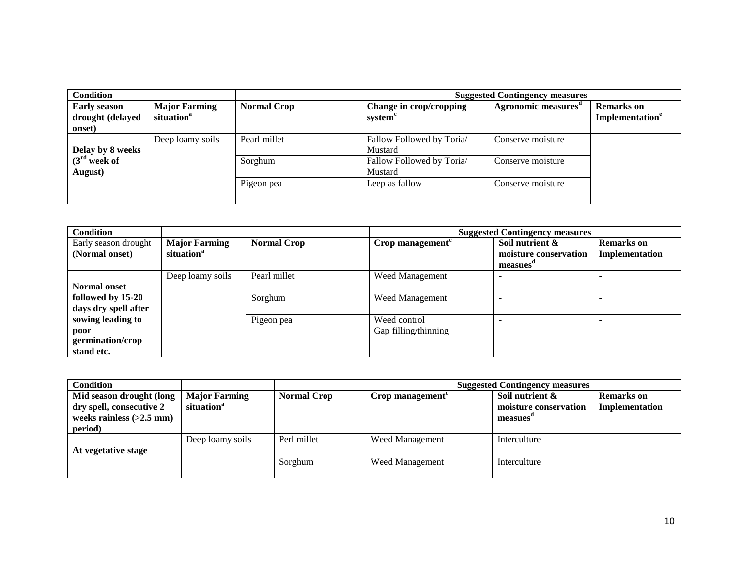| <b>Condition</b>                                  |                                                |                    |                                      | <b>Suggested Contingency measures</b> |                                                  |
|---------------------------------------------------|------------------------------------------------|--------------------|--------------------------------------|---------------------------------------|--------------------------------------------------|
| <b>Early season</b><br>drought (delayed<br>onset) | <b>Major Farming</b><br>situation <sup>a</sup> | <b>Normal Crop</b> | Change in crop/cropping<br>system    | Agronomic measures <sup>a</sup>       | <b>Remarks</b> on<br>Implementation <sup>e</sup> |
| Delay by 8 weeks                                  | Deep loamy soils                               | Pearl millet       | Fallow Followed by Toria/<br>Mustard | Conserve moisture                     |                                                  |
| $(3rd$ week of<br>August)                         |                                                | Sorghum            | Fallow Followed by Toria/<br>Mustard | Conserve moisture                     |                                                  |
|                                                   |                                                | Pigeon pea         | Leep as fallow                       | Conserve moisture                     |                                                  |

| <b>Condition</b>                                            |                                                |                    |                                      | <b>Suggested Contingency measures</b>                |                                     |
|-------------------------------------------------------------|------------------------------------------------|--------------------|--------------------------------------|------------------------------------------------------|-------------------------------------|
| Early season drought<br>(Normal onset)                      | <b>Major Farming</b><br>situation <sup>a</sup> | <b>Normal Crop</b> | Crop management <sup>c</sup>         | Soil nutrient &<br>moisture conservation<br>measues" | <b>Remarks</b> on<br>Implementation |
| <b>Normal onset</b>                                         | Deep loamy soils                               | Pearl millet       | Weed Management                      |                                                      |                                     |
| followed by 15-20<br>days dry spell after                   |                                                | Sorghum            | Weed Management                      |                                                      |                                     |
| sowing leading to<br>poor<br>germination/crop<br>stand etc. |                                                | Pigeon pea         | Weed control<br>Gap filling/thinning |                                                      |                                     |

| <b>Condition</b>           |                        |                    | <b>Suggested Contingency measures</b> |                       |                |  |
|----------------------------|------------------------|--------------------|---------------------------------------|-----------------------|----------------|--|
| Mid season drought (long   | <b>Major Farming</b>   | <b>Normal Crop</b> | Crop management $\epsilon$            | Soil nutrient &       | Remarks on     |  |
| dry spell, consecutive 2   | situation <sup>a</sup> |                    |                                       | moisture conservation | Implementation |  |
| weeks rainless $(>2.5$ mm) |                        |                    |                                       | measues               |                |  |
| period)                    |                        |                    |                                       |                       |                |  |
|                            | Deep loamy soils       | Perl millet        | Weed Management                       | Interculture          |                |  |
| At vegetative stage        |                        |                    |                                       |                       |                |  |
|                            |                        | Sorghum            | Weed Management                       | Interculture          |                |  |
|                            |                        |                    |                                       |                       |                |  |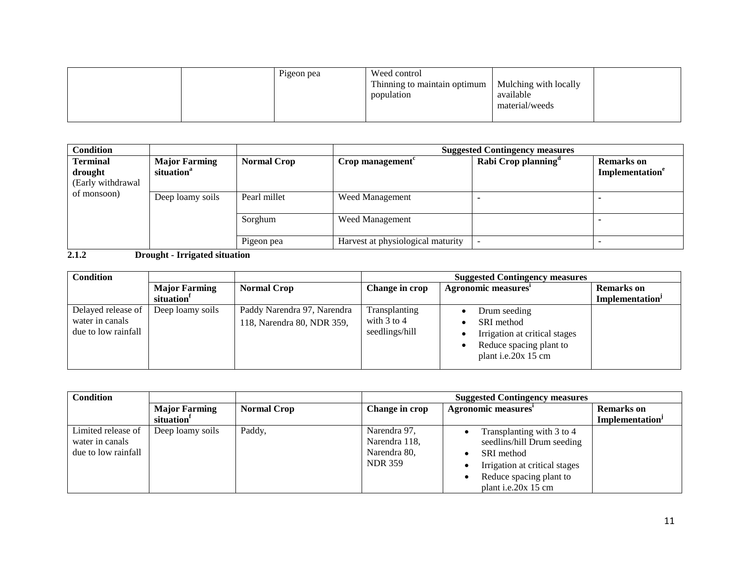|  | Pigeon pea | Weed control                                         |                |  |
|--|------------|------------------------------------------------------|----------------|--|
|  |            | Thinning to maintain optimum   Mulching with locally |                |  |
|  |            | population                                           | available      |  |
|  |            |                                                      | material/weeds |  |
|  |            |                                                      |                |  |

| <b>Condition</b>                                |                                                |                    | <b>Suggested Contingency measures</b> |                                 |                                                  |  |
|-------------------------------------------------|------------------------------------------------|--------------------|---------------------------------------|---------------------------------|--------------------------------------------------|--|
| <b>Terminal</b><br>drought<br>(Early withdrawal | <b>Major Farming</b><br>situation <sup>a</sup> | <b>Normal Crop</b> | Crop management <sup>c</sup>          | Rabi Crop planning <sup>d</sup> | <b>Remarks</b> on<br>Implementation <sup>e</sup> |  |
| of monsoon)                                     | Deep loamy soils                               | Pearl millet       | <b>Weed Management</b>                |                                 |                                                  |  |
|                                                 |                                                | Sorghum            | <b>Weed Management</b>                |                                 |                                                  |  |
|                                                 |                                                | Pigeon pea         | Harvest at physiological maturity     |                                 |                                                  |  |

**2.1.2 Drought - Irrigated situation**

| <b>Condition</b>                                             |                                                |                                                           | <b>Suggested Contingency measures</b>              |                                                                                                               |                             |  |
|--------------------------------------------------------------|------------------------------------------------|-----------------------------------------------------------|----------------------------------------------------|---------------------------------------------------------------------------------------------------------------|-----------------------------|--|
|                                                              | <b>Major Farming</b><br>situation <sup>1</sup> | <b>Normal Crop</b>                                        | Change in crop                                     | Agronomic measures <sup>1</sup>                                                                               |                             |  |
| Delayed release of<br>water in canals<br>due to low rainfall | Deep loamy soils                               | Paddy Narendra 97, Narendra<br>118, Narendra 80, NDR 359, | Transplanting<br>with $3$ to $4$<br>seedlings/hill | Drum seeding<br>SRI method<br>Irrigation at critical stages<br>Reduce spacing plant to<br>plant i.e.20x 15 cm | Implementation <sup>J</sup> |  |

| <b>Condition</b>    |                        |                    | <b>Suggested Contingency measures</b> |                                            |                             |
|---------------------|------------------------|--------------------|---------------------------------------|--------------------------------------------|-----------------------------|
|                     | <b>Major Farming</b>   | <b>Normal Crop</b> | Change in crop                        | Agronomic measures'                        | <b>Remarks</b> on           |
|                     | situation <sup>1</sup> |                    |                                       |                                            | Implementation <sup>J</sup> |
| Limited release of  | Deep loamy soils       | Paddy,             | Narendra 97,                          | Transplanting with 3 to 4                  |                             |
| water in canals     |                        |                    | Narendra 118,                         | seedlins/hill Drum seeding                 |                             |
| due to low rainfall |                        |                    | Narendra 80,                          | SRI method                                 |                             |
|                     |                        |                    | <b>NDR 359</b>                        | Irrigation at critical stages<br>$\bullet$ |                             |
|                     |                        |                    |                                       | Reduce spacing plant to                    |                             |
|                     |                        |                    |                                       | plant i.e.20x 15 cm                        |                             |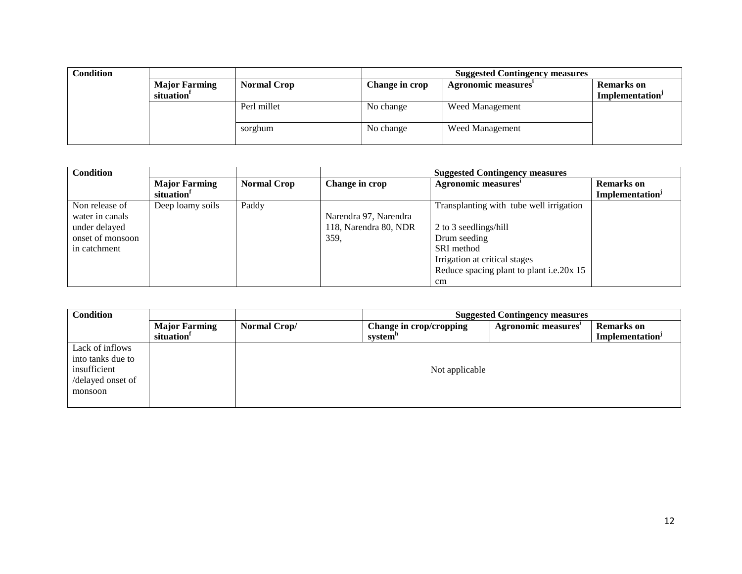| <b>Condition</b> |                        |                    | <b>Suggested Contingency measures</b> |                     |                       |
|------------------|------------------------|--------------------|---------------------------------------|---------------------|-----------------------|
|                  | <b>Major Farming</b>   | <b>Normal Crop</b> | Change in crop                        | Agronomic measures' | <b>Remarks</b> on     |
|                  | situation <sup>1</sup> |                    |                                       |                     | <b>Implementation</b> |
|                  |                        | Perl millet        | No change                             | Weed Management     |                       |
|                  |                        | sorghum            | No change                             | Weed Management     |                       |

| <b>Condition</b> |                        |                    |                       | <b>Suggested Contingency measures</b>    |                                    |
|------------------|------------------------|--------------------|-----------------------|------------------------------------------|------------------------------------|
|                  | <b>Major Farming</b>   | <b>Normal Crop</b> | Change in crop        | Agronomic measures'                      | <b>Remarks</b> on                  |
|                  | situation <sup>1</sup> |                    |                       |                                          | <b>Implementation</b> <sup>J</sup> |
| Non release of   | Deep loamy soils       | Paddy              |                       | Transplanting with tube well irrigation  |                                    |
| water in canals  |                        |                    | Narendra 97, Narendra |                                          |                                    |
| under delayed    |                        |                    | 118, Narendra 80, NDR | 2 to 3 seedlings/hill                    |                                    |
| onset of monsoon |                        |                    | 359,                  | Drum seeding                             |                                    |
| in catchment     |                        |                    |                       | SRI method                               |                                    |
|                  |                        |                    |                       | Irrigation at critical stages            |                                    |
|                  |                        |                    |                       | Reduce spacing plant to plant i.e.20x 15 |                                    |
|                  |                        |                    |                       | cm                                       |                                    |

| <b>Condition</b>                                                                     |                                                |              | <b>Suggested Contingency measures</b>          |                    |                                                  |  |
|--------------------------------------------------------------------------------------|------------------------------------------------|--------------|------------------------------------------------|--------------------|--------------------------------------------------|--|
|                                                                                      | <b>Major Farming</b><br>situation <sup>1</sup> | Normal Crop/ | Change in crop/cropping<br>system <sup>"</sup> | Agronomic measures | <b>Remarks</b> on<br>Implementation <sup>J</sup> |  |
| Lack of inflows<br>into tanks due to<br>insufficient<br>/delayed onset of<br>monsoon |                                                |              | Not applicable                                 |                    |                                                  |  |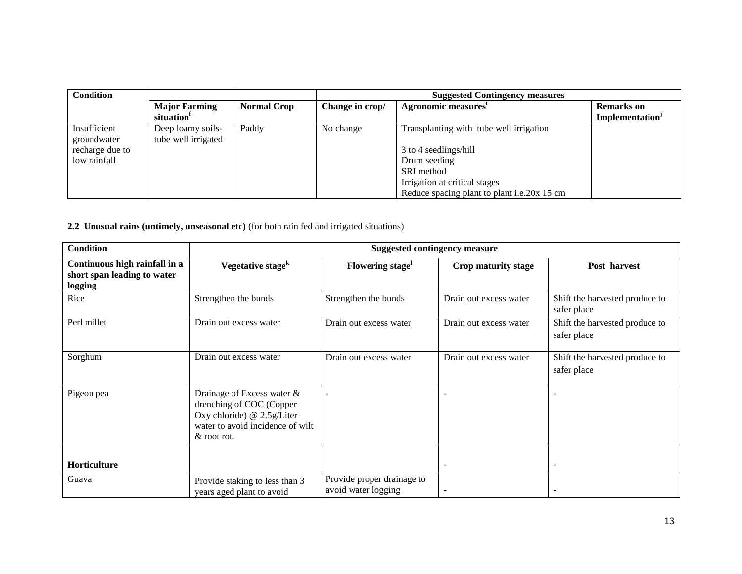| <b>Condition</b> |                        |                    | <b>Suggested Contingency measures</b> |                                             |                             |
|------------------|------------------------|--------------------|---------------------------------------|---------------------------------------------|-----------------------------|
|                  | <b>Major Farming</b>   | <b>Normal Crop</b> | Change in crop/                       | Agronomic measures'                         | <b>Remarks</b> on           |
|                  | situation <sup>1</sup> |                    |                                       |                                             | Implementation <sup>J</sup> |
| Insufficient     | Deep loamy soils-      | Paddy              | No change                             | Transplanting with tube well irrigation     |                             |
| groundwater      | tube well irrigated    |                    |                                       |                                             |                             |
| recharge due to  |                        |                    |                                       | 3 to 4 seedlings/hill                       |                             |
| low rainfall     |                        |                    |                                       | Drum seeding                                |                             |
|                  |                        |                    |                                       | SRI method                                  |                             |
|                  |                        |                    |                                       | Irrigation at critical stages               |                             |
|                  |                        |                    |                                       | Reduce spacing plant to plant i.e.20x 15 cm |                             |

**2.2 Unusual rains (untimely, unseasonal etc)** (for both rain fed and irrigated situations)

| <b>Condition</b>                                                        | <b>Suggested contingency measure</b>                                                                                                        |                                                   |                          |                                               |  |  |
|-------------------------------------------------------------------------|---------------------------------------------------------------------------------------------------------------------------------------------|---------------------------------------------------|--------------------------|-----------------------------------------------|--|--|
| Continuous high rainfall in a<br>short span leading to water<br>logging | Vegetative stage <sup>k</sup>                                                                                                               | Flowering stage                                   | Crop maturity stage      | Post harvest                                  |  |  |
| Rice                                                                    | Strengthen the bunds                                                                                                                        | Strengthen the bunds                              | Drain out excess water   | Shift the harvested produce to<br>safer place |  |  |
| Perl millet                                                             | Drain out excess water                                                                                                                      | Drain out excess water                            | Drain out excess water   | Shift the harvested produce to<br>safer place |  |  |
| Sorghum                                                                 | Drain out excess water                                                                                                                      | Drain out excess water                            | Drain out excess water   | Shift the harvested produce to<br>safer place |  |  |
| Pigeon pea                                                              | Drainage of Excess water &<br>drenching of COC (Copper<br>Oxy chloride) $@ 2.5g/Liter$<br>water to avoid incidence of wilt<br>$&$ root rot. | $\overline{\phantom{a}}$                          |                          |                                               |  |  |
| Horticulture                                                            |                                                                                                                                             |                                                   | $\overline{\phantom{a}}$ |                                               |  |  |
| Guava                                                                   | Provide staking to less than 3<br>years aged plant to avoid                                                                                 | Provide proper drainage to<br>avoid water logging |                          |                                               |  |  |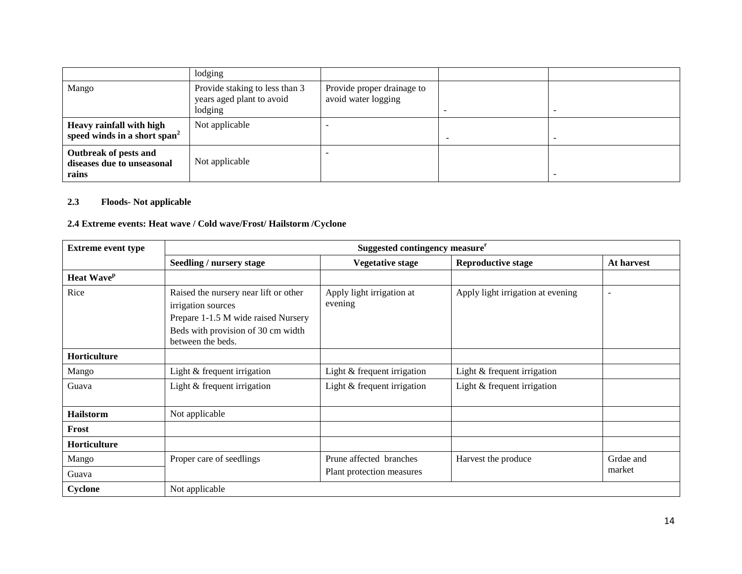|                                                                      | lodging                                                                |                                                   |  |
|----------------------------------------------------------------------|------------------------------------------------------------------------|---------------------------------------------------|--|
| Mango                                                                | Provide staking to less than 3<br>years aged plant to avoid<br>lodging | Provide proper drainage to<br>avoid water logging |  |
| Heavy rainfall with high<br>speed winds in a short span <sup>2</sup> | Not applicable                                                         |                                                   |  |
| Outbreak of pests and<br>diseases due to unseasonal<br>rains         | Not applicable                                                         |                                                   |  |

#### **2.3 Floods- Not applicable**

## **2.4 Extreme events: Heat wave / Cold wave/Frost/ Hailstorm /Cyclone**

| <b>Extreme event type</b> | Suggested contingency measure <sup>r</sup>                                                                                                                    |                                      |                                   |                          |  |  |
|---------------------------|---------------------------------------------------------------------------------------------------------------------------------------------------------------|--------------------------------------|-----------------------------------|--------------------------|--|--|
|                           | <b>Seedling / nursery stage</b>                                                                                                                               | <b>Vegetative stage</b>              | <b>Reproductive stage</b>         | At harvest               |  |  |
| Heat Wave <sup>p</sup>    |                                                                                                                                                               |                                      |                                   |                          |  |  |
| Rice                      | Raised the nursery near lift or other<br>irrigation sources<br>Prepare 1-1.5 M wide raised Nursery<br>Beds with provision of 30 cm width<br>between the beds. | Apply light irrigation at<br>evening | Apply light irrigation at evening | $\overline{\phantom{a}}$ |  |  |
| Horticulture              |                                                                                                                                                               |                                      |                                   |                          |  |  |
| Mango                     | Light & frequent irrigation                                                                                                                                   | Light & frequent irrigation          | Light & frequent irrigation       |                          |  |  |
| Guava                     | Light & frequent irrigation                                                                                                                                   | Light & frequent irrigation          | Light & frequent irrigation       |                          |  |  |
| <b>Hailstorm</b>          | Not applicable                                                                                                                                                |                                      |                                   |                          |  |  |
| Frost                     |                                                                                                                                                               |                                      |                                   |                          |  |  |
| Horticulture              |                                                                                                                                                               |                                      |                                   |                          |  |  |
| Mango                     | Proper care of seedlings                                                                                                                                      | Prune affected branches              | Harvest the produce               | Grdae and                |  |  |
| Guava                     |                                                                                                                                                               | Plant protection measures            |                                   | market                   |  |  |
| Cyclone                   | Not applicable                                                                                                                                                |                                      |                                   |                          |  |  |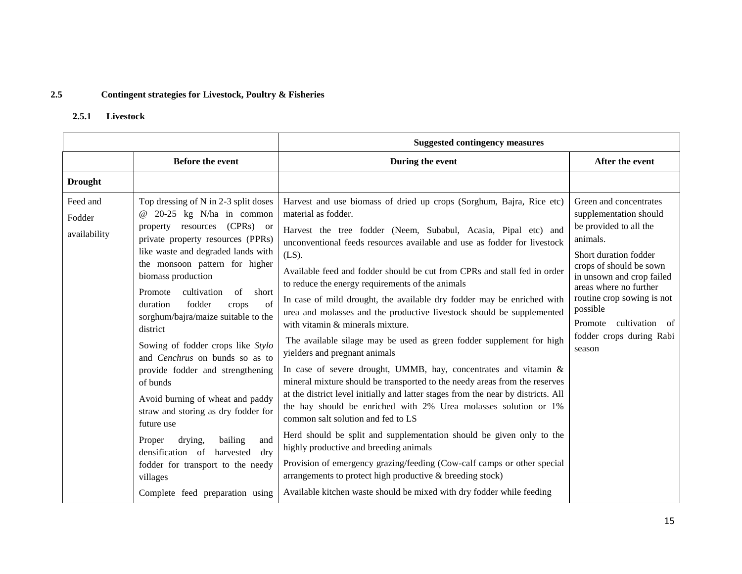#### **2.5 Contingent strategies for Livestock, Poultry & Fisheries**

#### **2.5.1 Livestock**

|                                    |                                                                                                                                                                                                                                                                                                                                                                                                                                                                                                                                                                                                                                                                                                                                                         | <b>Suggested contingency measures</b>                                                                                                                                                                                                                                                                                                                                                                                                                                                                                                                                                                                                                                                                                                                                                                                                                                                                                                                                                                                                                                                                                                                                                                                                                                                                                                                                    |                                                                                                                                                                                                                                                                                                             |  |
|------------------------------------|---------------------------------------------------------------------------------------------------------------------------------------------------------------------------------------------------------------------------------------------------------------------------------------------------------------------------------------------------------------------------------------------------------------------------------------------------------------------------------------------------------------------------------------------------------------------------------------------------------------------------------------------------------------------------------------------------------------------------------------------------------|--------------------------------------------------------------------------------------------------------------------------------------------------------------------------------------------------------------------------------------------------------------------------------------------------------------------------------------------------------------------------------------------------------------------------------------------------------------------------------------------------------------------------------------------------------------------------------------------------------------------------------------------------------------------------------------------------------------------------------------------------------------------------------------------------------------------------------------------------------------------------------------------------------------------------------------------------------------------------------------------------------------------------------------------------------------------------------------------------------------------------------------------------------------------------------------------------------------------------------------------------------------------------------------------------------------------------------------------------------------------------|-------------------------------------------------------------------------------------------------------------------------------------------------------------------------------------------------------------------------------------------------------------------------------------------------------------|--|
|                                    | <b>Before the event</b>                                                                                                                                                                                                                                                                                                                                                                                                                                                                                                                                                                                                                                                                                                                                 | During the event                                                                                                                                                                                                                                                                                                                                                                                                                                                                                                                                                                                                                                                                                                                                                                                                                                                                                                                                                                                                                                                                                                                                                                                                                                                                                                                                                         | After the event                                                                                                                                                                                                                                                                                             |  |
| <b>Drought</b>                     |                                                                                                                                                                                                                                                                                                                                                                                                                                                                                                                                                                                                                                                                                                                                                         |                                                                                                                                                                                                                                                                                                                                                                                                                                                                                                                                                                                                                                                                                                                                                                                                                                                                                                                                                                                                                                                                                                                                                                                                                                                                                                                                                                          |                                                                                                                                                                                                                                                                                                             |  |
| Feed and<br>Fodder<br>availability | Top dressing of N in 2-3 split doses<br>$@$ 20-25 kg N/ha in common<br>property resources (CPRs) or<br>private property resources (PPRs)<br>like waste and degraded lands with<br>the monsoon pattern for higher<br>biomass production<br>cultivation<br>of<br>short<br>Promote<br>duration<br>of<br>fodder<br>crops<br>sorghum/bajra/maize suitable to the<br>district<br>Sowing of fodder crops like Stylo<br>and Cenchrus on bunds so as to<br>provide fodder and strengthening<br>of bunds<br>Avoid burning of wheat and paddy<br>straw and storing as dry fodder for<br>future use<br>drying,<br>bailing<br>Proper<br>and<br>densification of harvested<br>dry<br>fodder for transport to the needy<br>villages<br>Complete feed preparation using | Harvest and use biomass of dried up crops (Sorghum, Bajra, Rice etc)<br>material as fodder.<br>Harvest the tree fodder (Neem, Subabul, Acasia, Pipal etc) and<br>unconventional feeds resources available and use as fodder for livestock<br>$(LS)$ .<br>Available feed and fodder should be cut from CPRs and stall fed in order<br>to reduce the energy requirements of the animals<br>In case of mild drought, the available dry fodder may be enriched with<br>urea and molasses and the productive livestock should be supplemented<br>with vitamin & minerals mixture.<br>The available silage may be used as green fodder supplement for high<br>yielders and pregnant animals<br>In case of severe drought, UMMB, hay, concentrates and vitamin &<br>mineral mixture should be transported to the needy areas from the reserves<br>at the district level initially and latter stages from the near by districts. All<br>the hay should be enriched with 2% Urea molasses solution or 1%<br>common salt solution and fed to LS<br>Herd should be split and supplementation should be given only to the<br>highly productive and breeding animals<br>Provision of emergency grazing/feeding (Cow-calf camps or other special<br>arrangements to protect high productive & breeding stock)<br>Available kitchen waste should be mixed with dry fodder while feeding | Green and concentrates<br>supplementation should<br>be provided to all the<br>animals.<br>Short duration fodder<br>crops of should be sown<br>in unsown and crop failed<br>areas where no further<br>routine crop sowing is not<br>possible<br>Promote cultivation of<br>fodder crops during Rabi<br>season |  |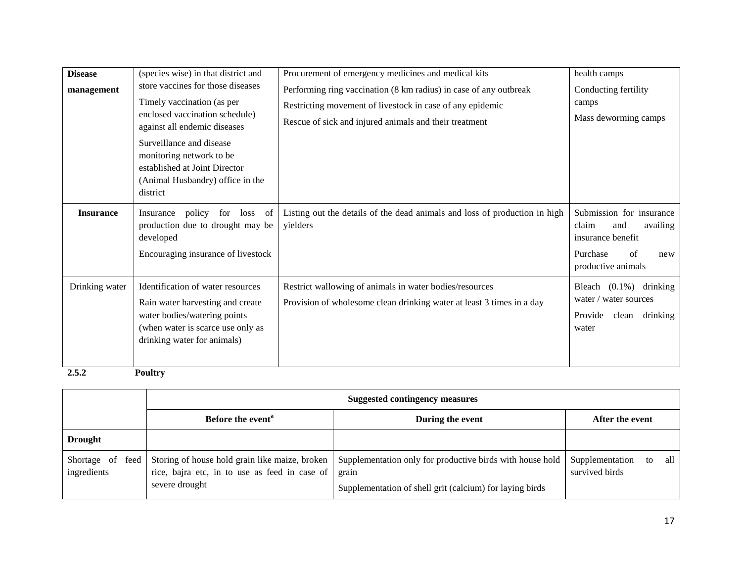| <b>Disease</b><br>management           | (species wise) in that district and<br>store vaccines for those diseases<br>Timely vaccination (as per<br>enclosed vaccination schedule)<br>against all endemic diseases<br>Surveillance and disease<br>monitoring network to be<br>established at Joint Director<br>(Animal Husbandry) office in the<br>district | Procurement of emergency medicines and medical kits<br>Performing ring vaccination (8 km radius) in case of any outbreak<br>Restricting movement of livestock in case of any epidemic<br>Rescue of sick and injured animals and their treatment | health camps<br>Conducting fertility<br>camps<br>Mass deworming camps                                                    |
|----------------------------------------|-------------------------------------------------------------------------------------------------------------------------------------------------------------------------------------------------------------------------------------------------------------------------------------------------------------------|-------------------------------------------------------------------------------------------------------------------------------------------------------------------------------------------------------------------------------------------------|--------------------------------------------------------------------------------------------------------------------------|
| <b>Insurance</b>                       | policy<br>- of<br>for<br>loss<br>Insurance<br>production due to drought may be<br>developed<br>Encouraging insurance of livestock                                                                                                                                                                                 | Listing out the details of the dead animals and loss of production in high<br>yielders                                                                                                                                                          | Submission for insurance<br>claim<br>availing<br>and<br>insurance benefit<br>Purchase<br>of<br>new<br>productive animals |
| Drinking water<br>$\sim$ $\sim$ $\sim$ | Identification of water resources<br>Rain water harvesting and create<br>water bodies/watering points<br>(when water is scarce use only as<br>drinking water for animals)<br>$\mathbf{r}$ $\mathbf{u}$                                                                                                            | Restrict wallowing of animals in water bodies/resources<br>Provision of wholesome clean drinking water at least 3 times in a day                                                                                                                | Bleach $(0.1\%)$<br>drinking<br>water / water sources<br>Provide<br>clean<br>drinking<br>water                           |

**2.5.2 Poultry** 

|                                    | <b>Suggested contingency measures</b>                           |                                                                                                                                                                                 |                                                |  |  |  |  |  |
|------------------------------------|-----------------------------------------------------------------|---------------------------------------------------------------------------------------------------------------------------------------------------------------------------------|------------------------------------------------|--|--|--|--|--|
|                                    | Before the event <sup>a</sup>                                   | During the event                                                                                                                                                                |                                                |  |  |  |  |  |
| <b>Drought</b>                     |                                                                 |                                                                                                                                                                                 |                                                |  |  |  |  |  |
| Shortage of<br>feed<br>ingredients | rice, bajra etc, in to use as feed in case of<br>severe drought | Storing of house hold grain like maize, broken   Supplementation only for productive birds with house hold<br>grain<br>Supplementation of shell grit (calcium) for laying birds | Supplementation<br>all<br>to<br>survived birds |  |  |  |  |  |